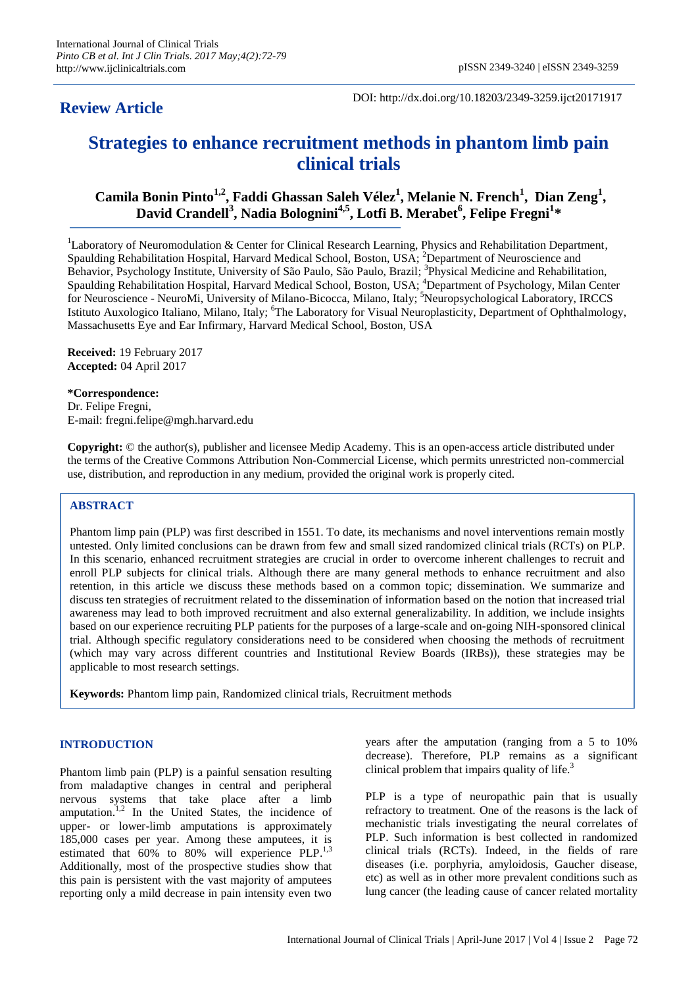# **Review Article**

DOI: http://dx.doi.org/10.18203/2349-3259.ijct20171917

# **Strategies to enhance recruitment methods in phantom limb pain clinical trials**

# **Camila Bonin Pinto1,2 , Faddi Ghassan Saleh Vélez<sup>1</sup> , Melanie N. French<sup>1</sup> , Dian Zeng<sup>1</sup> , David Crandell<sup>3</sup> , Nadia Bolognini4,5 , Lotfi B. Merabet<sup>6</sup> , Felipe Fregni<sup>1</sup> \***

<sup>1</sup>Laboratory of Neuromodulation & Center for Clinical Research Learning, Physics and Rehabilitation Department, Spaulding Rehabilitation Hospital, Harvard Medical School, Boston, USA; <sup>2</sup>Department of Neuroscience and Behavior, Psychology Institute, University of São Paulo, São Paulo, Brazil; <sup>3</sup>Physical Medicine and Rehabilitation, Spaulding Rehabilitation Hospital, Harvard Medical School, Boston, USA; <sup>4</sup>Department of Psychology, Milan Center for Neuroscience - NeuroMi, University of Milano-Bicocca, Milano, Italy; <sup>5</sup>Neuropsychological Laboratory, IRCCS Istituto Auxologico Italiano, Milano, Italy; <sup>6</sup>The Laboratory for Visual Neuroplasticity, Department of Ophthalmology, Massachusetts Eye and Ear Infirmary, Harvard Medical School, Boston, USA

**Received:** 19 February 2017 **Accepted:** 04 April 2017

**\*Correspondence:** Dr. Felipe Fregni, E-mail: fregni.felipe@mgh.harvard.edu

**Copyright:** © the author(s), publisher and licensee Medip Academy. This is an open-access article distributed under the terms of the Creative Commons Attribution Non-Commercial License, which permits unrestricted non-commercial use, distribution, and reproduction in any medium, provided the original work is properly cited.

# **ABSTRACT**

Phantom limp pain (PLP) was first described in 1551. To date, its mechanisms and novel interventions remain mostly untested. Only limited conclusions can be drawn from few and small sized randomized clinical trials (RCTs) on PLP. In this scenario, enhanced recruitment strategies are crucial in order to overcome inherent challenges to recruit and enroll PLP subjects for clinical trials. Although there are many general methods to enhance recruitment and also retention, in this article we discuss these methods based on a common topic; dissemination. We summarize and discuss ten strategies of recruitment related to the dissemination of information based on the notion that increased trial awareness may lead to both improved recruitment and also external generalizability. In addition, we include insights based on our experience recruiting PLP patients for the purposes of a large-scale and on-going NIH-sponsored clinical trial. Although specific regulatory considerations need to be considered when choosing the methods of recruitment (which may vary across different countries and Institutional Review Boards (IRBs)), these strategies may be applicable to most research settings.

**Keywords:** Phantom limp pain, Randomized clinical trials, Recruitment methods

## **INTRODUCTION**

Phantom limb pain (PLP) is a painful sensation resulting from maladaptive changes in central and peripheral nervous systems that take place after a limb amputation.<sup>1,2</sup> In the United States, the incidence of upper- or lower-limb amputations is approximately 185,000 cases per year. Among these amputees, it is estimated that  $60\%$  to  $80\%$  will experience PLP.<sup>1,3</sup> Additionally, most of the prospective studies show that this pain is persistent with the vast majority of amputees reporting only a mild decrease in pain intensity even two

years after the amputation (ranging from a 5 to 10% decrease). Therefore, PLP remains as a significant clinical problem that impairs quality of life.<sup>3</sup>

PLP is a type of neuropathic pain that is usually refractory to treatment. One of the reasons is the lack of mechanistic trials investigating the neural correlates of PLP. Such information is best collected in randomized clinical trials (RCTs). Indeed, in the fields of rare diseases (i.e. porphyria, amyloidosis, Gaucher disease, etc) as well as in other more prevalent conditions such as lung cancer (the leading cause of cancer related mortality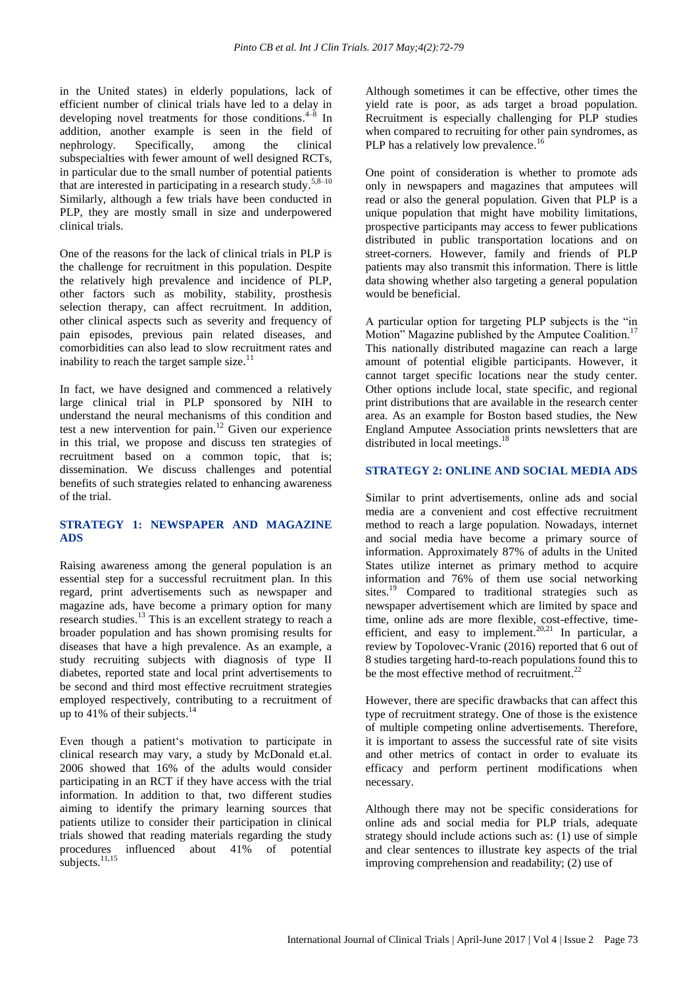in the United states) in elderly populations, lack of efficient number of clinical trials have led to a delay in developing novel treatments for those conditions. $4-8$  In addition, another example is seen in the field of nephrology. Specifically, among the clinical subspecialties with fewer amount of well designed RCTs, in particular due to the small number of potential patients that are interested in participating in a research study. 5,8–10 Similarly, although a few trials have been conducted in PLP, they are mostly small in size and underpowered clinical trials.

One of the reasons for the lack of clinical trials in PLP is the challenge for recruitment in this population. Despite the relatively high prevalence and incidence of PLP, other factors such as mobility, stability, prosthesis selection therapy, can affect recruitment. In addition, other clinical aspects such as severity and frequency of pain episodes, previous pain related diseases, and comorbidities can also lead to slow recruitment rates and inability to reach the target sample size. $11$ 

In fact, we have designed and commenced a relatively large clinical trial in PLP sponsored by NIH to understand the neural mechanisms of this condition and test a new intervention for pain. <sup>12</sup> Given our experience in this trial, we propose and discuss ten strategies of recruitment based on a common topic, that is; dissemination. We discuss challenges and potential benefits of such strategies related to enhancing awareness of the trial.

# **STRATEGY 1: NEWSPAPER AND MAGAZINE ADS**

Raising awareness among the general population is an essential step for a successful recruitment plan. In this regard, print advertisements such as newspaper and magazine ads, have become a primary option for many research studies.<sup>13</sup> This is an excellent strategy to reach a broader population and has shown promising results for diseases that have a high prevalence. As an example, a study recruiting subjects with diagnosis of type II diabetes, reported state and local print advertisements to be second and third most effective recruitment strategies employed respectively, contributing to a recruitment of up to 41% of their subjects.<sup>14</sup>

Even though a patient"s motivation to participate in clinical research may vary, a study by McDonald et.al. 2006 showed that 16% of the adults would consider participating in an RCT if they have access with the trial information. In addition to that, two different studies aiming to identify the primary learning sources that patients utilize to consider their participation in clinical trials showed that reading materials regarding the study procedures influenced about 41% of potential subjects.<sup>11,15</sup>

Although sometimes it can be effective, other times the yield rate is poor, as ads target a broad population. Recruitment is especially challenging for PLP studies when compared to recruiting for other pain syndromes, as PLP has a relatively low prevalence.<sup>16</sup>

One point of consideration is whether to promote ads only in newspapers and magazines that amputees will read or also the general population. Given that PLP is a unique population that might have mobility limitations, prospective participants may access to fewer publications distributed in public transportation locations and on street-corners. However, family and friends of PLP patients may also transmit this information. There is little data showing whether also targeting a general population would be beneficial.

A particular option for targeting PLP subjects is the "in Motion" Magazine published by the Amputee Coalition.<sup>17</sup> This nationally distributed magazine can reach a large amount of potential eligible participants. However, it cannot target specific locations near the study center. Other options include local, state specific, and regional print distributions that are available in the research center area. As an example for Boston based studies, the New England Amputee Association prints newsletters that are distributed in local meetings. 18

#### **STRATEGY 2: ONLINE AND SOCIAL MEDIA ADS**

Similar to print advertisements, online ads and social media are a convenient and cost effective recruitment method to reach a large population. Nowadays, internet and social media have become a primary source of information. Approximately 87% of adults in the United States utilize internet as primary method to acquire information and 76% of them use social networking sites.<sup>19</sup> Compared to traditional strategies such as newspaper advertisement which are limited by space and time, online ads are more flexible, cost-effective, timeefficient, and easy to implement.<sup>20,21</sup> In particular, a review by Topolovec-Vranic (2016) reported that 6 out of 8 studies targeting hard-to-reach populations found this to be the most effective method of recruitment.<sup>22</sup>

However, there are specific drawbacks that can affect this type of recruitment strategy. One of those is the existence of multiple competing online advertisements. Therefore, it is important to assess the successful rate of site visits and other metrics of contact in order to evaluate its efficacy and perform pertinent modifications when necessary.

Although there may not be specific considerations for online ads and social media for PLP trials, adequate strategy should include actions such as: (1) use of simple and clear sentences to illustrate key aspects of the trial improving comprehension and readability; (2) use of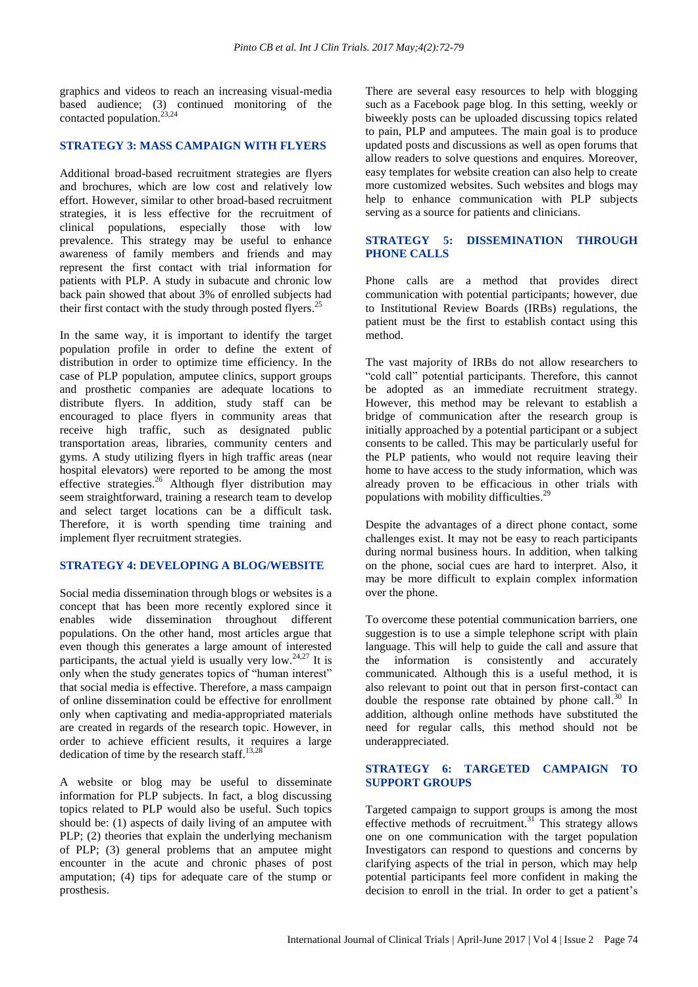graphics and videos to reach an increasing visual-media based audience; (3) continued monitoring of the contacted population. 23,24

#### **STRATEGY 3: MASS CAMPAIGN WITH FLYERS**

Additional broad-based recruitment strategies are flyers and brochures, which are low cost and relatively low effort. However, similar to other broad-based recruitment strategies, it is less effective for the recruitment of clinical populations, especially those with low prevalence. This strategy may be useful to enhance awareness of family members and friends and may represent the first contact with trial information for patients with PLP. A study in subacute and chronic low back pain showed that about 3% of enrolled subjects had their first contact with the study through posted flyers.<sup>25</sup>

In the same way, it is important to identify the target population profile in order to define the extent of distribution in order to optimize time efficiency. In the case of PLP population, amputee clinics, support groups and prosthetic companies are adequate locations to distribute flyers. In addition, study staff can be encouraged to place flyers in community areas that receive high traffic, such as designated public transportation areas, libraries, community centers and gyms. A study utilizing flyers in high traffic areas (near hospital elevators) were reported to be among the most effective strategies. <sup>26</sup> Although flyer distribution may seem straightforward, training a research team to develop and select target locations can be a difficult task. Therefore, it is worth spending time training and implement flyer recruitment strategies.

#### **STRATEGY 4: DEVELOPING A BLOG/WEBSITE**

Social media dissemination through blogs or websites is a concept that has been more recently explored since it enables wide dissemination throughout different populations. On the other hand, most articles argue that even though this generates a large amount of interested participants, the actual yield is usually very low. 24,27 It is only when the study generates topics of "human interest" that social media is effective. Therefore, a mass campaign of online dissemination could be effective for enrollment only when captivating and media-appropriated materials are created in regards of the research topic. However, in order to achieve efficient results, it requires a large dedication of time by the research staff. 13,28

A website or blog may be useful to disseminate information for PLP subjects. In fact, a blog discussing topics related to PLP would also be useful. Such topics should be: (1) aspects of daily living of an amputee with PLP; (2) theories that explain the underlying mechanism of PLP; (3) general problems that an amputee might encounter in the acute and chronic phases of post amputation; (4) tips for adequate care of the stump or prosthesis.

There are several easy resources to help with blogging such as a Facebook page blog. In this setting, weekly or biweekly posts can be uploaded discussing topics related to pain, PLP and amputees. The main goal is to produce updated posts and discussions as well as open forums that allow readers to solve questions and enquires. Moreover, easy templates for website creation can also help to create more customized websites. Such websites and blogs may help to enhance communication with PLP subjects serving as a source for patients and clinicians.

## **STRATEGY 5: DISSEMINATION THROUGH PHONE CALLS**

Phone calls are a method that provides direct communication with potential participants; however, due to Institutional Review Boards (IRBs) regulations, the patient must be the first to establish contact using this method.

The vast majority of IRBs do not allow researchers to "cold call" potential participants. Therefore, this cannot be adopted as an immediate recruitment strategy. However, this method may be relevant to establish a bridge of communication after the research group is initially approached by a potential participant or a subject consents to be called. This may be particularly useful for the PLP patients, who would not require leaving their home to have access to the study information, which was already proven to be efficacious in other trials with populations with mobility difficulties. 29

Despite the advantages of a direct phone contact, some challenges exist. It may not be easy to reach participants during normal business hours. In addition, when talking on the phone, social cues are hard to interpret. Also, it may be more difficult to explain complex information over the phone.

To overcome these potential communication barriers, one suggestion is to use a simple telephone script with plain language. This will help to guide the call and assure that the information is consistently and accurately communicated. Although this is a useful method, it is also relevant to point out that in person first-contact can double the response rate obtained by phone call.<sup>30</sup> In addition, although online methods have substituted the need for regular calls, this method should not be underappreciated.

### **STRATEGY 6: TARGETED CAMPAIGN TO SUPPORT GROUPS**

Targeted campaign to support groups is among the most effective methods of recruitment.<sup>31</sup> This strategy allows one on one communication with the target population Investigators can respond to questions and concerns by clarifying aspects of the trial in person, which may help potential participants feel more confident in making the decision to enroll in the trial. In order to get a patient's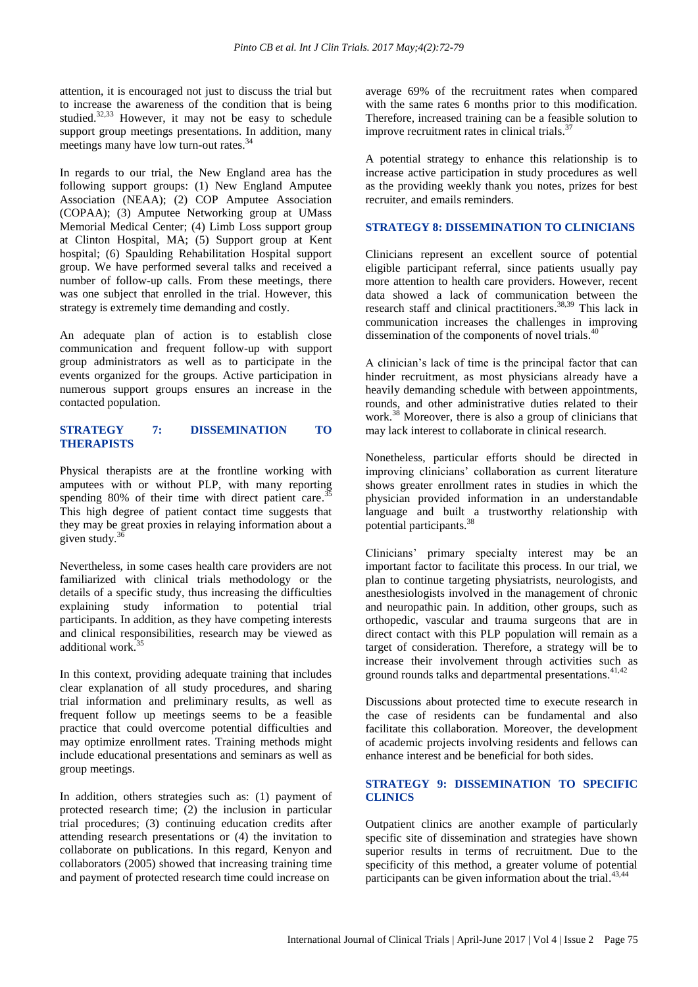attention, it is encouraged not just to discuss the trial but to increase the awareness of the condition that is being studied. $32,33$  However, it may not be easy to schedule support group meetings presentations. In addition, many meetings many have low turn-out rates. 34

In regards to our trial, the New England area has the following support groups: (1) New England Amputee Association (NEAA); (2) COP Amputee Association (COPAA); (3) Amputee Networking group at UMass Memorial Medical Center; (4) Limb Loss support group at Clinton Hospital, MA; (5) Support group at Kent hospital; (6) Spaulding Rehabilitation Hospital support group. We have performed several talks and received a number of follow-up calls. From these meetings, there was one subject that enrolled in the trial. However, this strategy is extremely time demanding and costly.

An adequate plan of action is to establish close communication and frequent follow-up with support group administrators as well as to participate in the events organized for the groups. Active participation in numerous support groups ensures an increase in the contacted population.

#### **STRATEGY 7: DISSEMINATION TO THERAPISTS**

Physical therapists are at the frontline working with amputees with or without PLP, with many reporting spending 80% of their time with direct patient care.<sup>35</sup> This high degree of patient contact time suggests that they may be great proxies in relaying information about a given study. $3\overline{6}$ 

Nevertheless, in some cases health care providers are not familiarized with clinical trials methodology or the details of a specific study, thus increasing the difficulties explaining study information to potential trial participants. In addition, as they have competing interests and clinical responsibilities, research may be viewed as additional work.<sup>3</sup>

In this context, providing adequate training that includes clear explanation of all study procedures, and sharing trial information and preliminary results, as well as frequent follow up meetings seems to be a feasible practice that could overcome potential difficulties and may optimize enrollment rates. Training methods might include educational presentations and seminars as well as group meetings.

In addition, others strategies such as: (1) payment of protected research time; (2) the inclusion in particular trial procedures; (3) continuing education credits after attending research presentations or (4) the invitation to collaborate on publications. In this regard, Kenyon and collaborators (2005) showed that increasing training time and payment of protected research time could increase on

average 69% of the recruitment rates when compared with the same rates 6 months prior to this modification. Therefore, increased training can be a feasible solution to improve recruitment rates in clinical trials.<sup>37</sup>

A potential strategy to enhance this relationship is to increase active participation in study procedures as well as the providing weekly thank you notes, prizes for best recruiter, and emails reminders.

### **STRATEGY 8: DISSEMINATION TO CLINICIANS**

Clinicians represent an excellent source of potential eligible participant referral, since patients usually pay more attention to health care providers. However, recent data showed a lack of communication between the research staff and clinical practitioners. 38,39 This lack in communication increases the challenges in improving dissemination of the components of novel trials.<sup>40</sup>

A clinician"s lack of time is the principal factor that can hinder recruitment, as most physicians already have a heavily demanding schedule with between appointments, rounds, and other administrative duties related to their work. <sup>38</sup> Moreover, there is also a group of clinicians that may lack interest to collaborate in clinical research.

Nonetheless, particular efforts should be directed in improving clinicians" collaboration as current literature shows greater enrollment rates in studies in which the physician provided information in an understandable language and built a trustworthy relationship with potential participants. 38

Clinicians" primary specialty interest may be an important factor to facilitate this process. In our trial, we plan to continue targeting physiatrists, neurologists, and anesthesiologists involved in the management of chronic and neuropathic pain. In addition, other groups, such as orthopedic, vascular and trauma surgeons that are in direct contact with this PLP population will remain as a target of consideration. Therefore, a strategy will be to increase their involvement through activities such as ground rounds talks and departmental presentations. 41,42

Discussions about protected time to execute research in the case of residents can be fundamental and also facilitate this collaboration. Moreover, the development of academic projects involving residents and fellows can enhance interest and be beneficial for both sides.

### **STRATEGY 9: DISSEMINATION TO SPECIFIC CLINICS**

Outpatient clinics are another example of particularly specific site of dissemination and strategies have shown superior results in terms of recruitment. Due to the specificity of this method, a greater volume of potential participants can be given information about the trial.<sup>43,44</sup>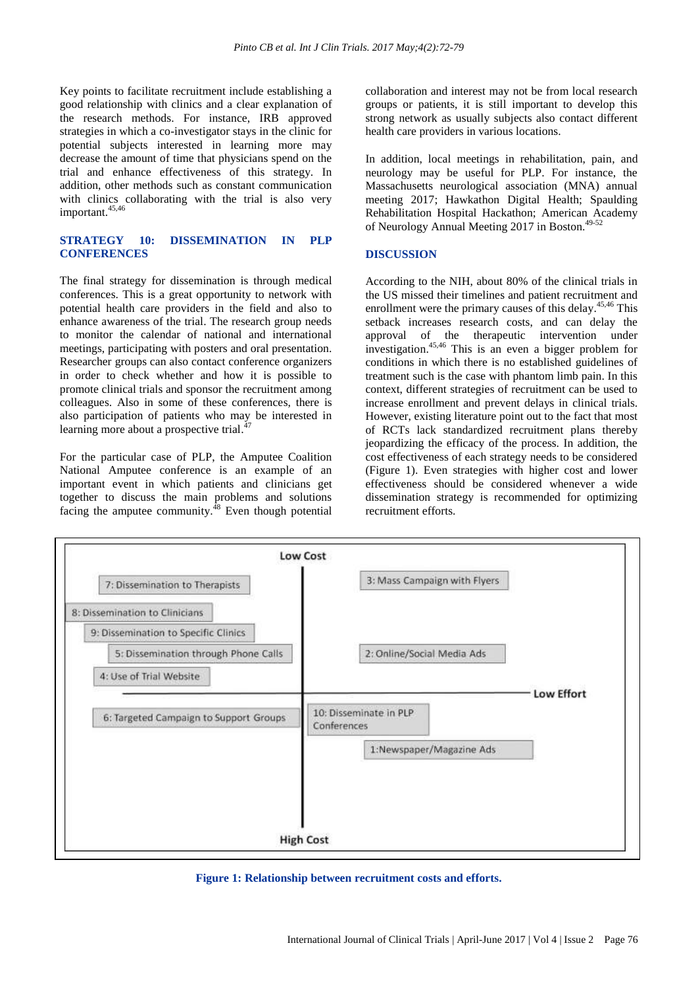Key points to facilitate recruitment include establishing a good relationship with clinics and a clear explanation of the research methods. For instance, IRB approved strategies in which a co-investigator stays in the clinic for potential subjects interested in learning more may decrease the amount of time that physicians spend on the trial and enhance effectiveness of this strategy. In addition, other methods such as constant communication with clinics collaborating with the trial is also very important. 45,46

## **STRATEGY 10: DISSEMINATION IN PLP CONFERENCES**

The final strategy for dissemination is through medical conferences. This is a great opportunity to network with potential health care providers in the field and also to enhance awareness of the trial. The research group needs to monitor the calendar of national and international meetings, participating with posters and oral presentation. Researcher groups can also contact conference organizers in order to check whether and how it is possible to promote clinical trials and sponsor the recruitment among colleagues. Also in some of these conferences, there is also participation of patients who may be interested in learning more about a prospective trial.<sup>47</sup>

For the particular case of PLP, the Amputee Coalition National Amputee conference is an example of an important event in which patients and clinicians get together to discuss the main problems and solutions facing the amputee community. $^{48}$  Even though potential collaboration and interest may not be from local research groups or patients, it is still important to develop this strong network as usually subjects also contact different health care providers in various locations.

In addition, local meetings in rehabilitation, pain, and neurology may be useful for PLP. For instance, the Massachusetts neurological association (MNA) annual meeting 2017; Hawkathon Digital Health; Spaulding Rehabilitation Hospital Hackathon; American Academy of Neurology Annual Meeting 2017 in Boston. 49-52

#### **DISCUSSION**

According to the NIH, about 80% of the clinical trials in the US missed their timelines and patient recruitment and enrollment were the primary causes of this delay.<sup>45,46</sup> This setback increases research costs, and can delay the approval of the therapeutic intervention under investigation. 45,46 This is an even a bigger problem for conditions in which there is no established guidelines of treatment such is the case with phantom limb pain. In this context, different strategies of recruitment can be used to increase enrollment and prevent delays in clinical trials. However, existing literature point out to the fact that most of RCTs lack standardized recruitment plans thereby jeopardizing the efficacy of the process. In addition, the cost effectiveness of each strategy needs to be considered (Figure 1). Even strategies with higher cost and lower effectiveness should be considered whenever a wide dissemination strategy is recommended for optimizing recruitment efforts.



**Figure 1: Relationship between recruitment costs and efforts.**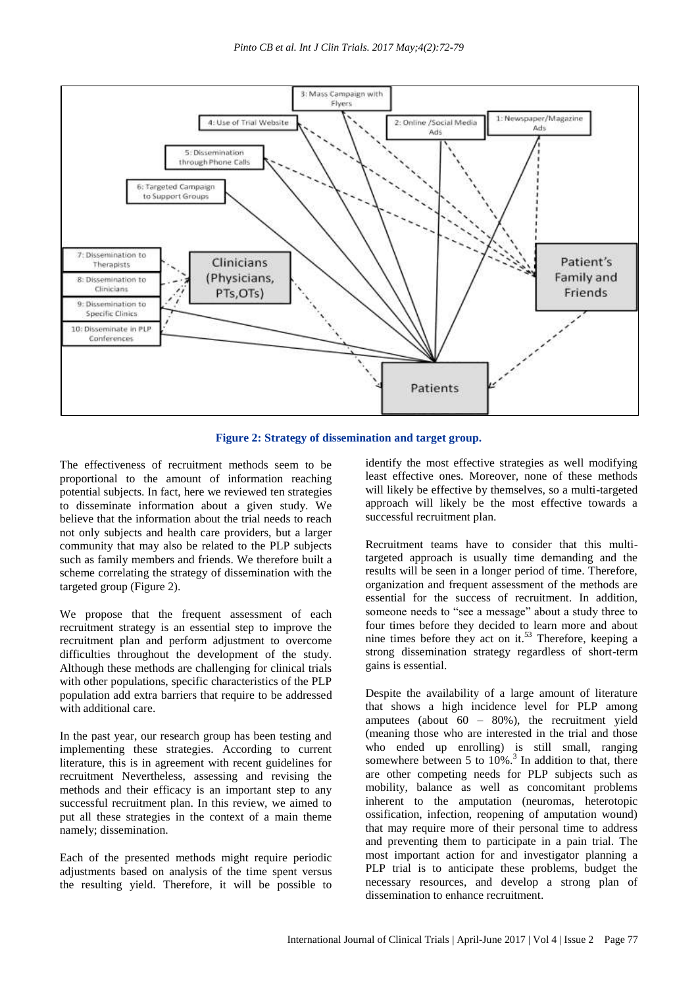

**Figure 2: Strategy of dissemination and target group.**

The effectiveness of recruitment methods seem to be proportional to the amount of information reaching potential subjects. In fact, here we reviewed ten strategies to disseminate information about a given study. We believe that the information about the trial needs to reach not only subjects and health care providers, but a larger community that may also be related to the PLP subjects such as family members and friends. We therefore built a scheme correlating the strategy of dissemination with the targeted group (Figure 2).

We propose that the frequent assessment of each recruitment strategy is an essential step to improve the recruitment plan and perform adjustment to overcome difficulties throughout the development of the study. Although these methods are challenging for clinical trials with other populations, specific characteristics of the PLP population add extra barriers that require to be addressed with additional care.

In the past year, our research group has been testing and implementing these strategies. According to current literature, this is in agreement with recent guidelines for recruitment Nevertheless, assessing and revising the methods and their efficacy is an important step to any successful recruitment plan. In this review, we aimed to put all these strategies in the context of a main theme namely; dissemination.

Each of the presented methods might require periodic adjustments based on analysis of the time spent versus the resulting yield. Therefore, it will be possible to identify the most effective strategies as well modifying least effective ones. Moreover, none of these methods will likely be effective by themselves, so a multi-targeted approach will likely be the most effective towards a successful recruitment plan.

Recruitment teams have to consider that this multitargeted approach is usually time demanding and the results will be seen in a longer period of time. Therefore, organization and frequent assessment of the methods are essential for the success of recruitment. In addition, someone needs to "see a message" about a study three to four times before they decided to learn more and about nine times before they act on it. <sup>53</sup> Therefore, keeping a strong dissemination strategy regardless of short-term gains is essential.

Despite the availability of a large amount of literature that shows a high incidence level for PLP among amputees (about  $60 - 80\%$ ), the recruitment yield (meaning those who are interested in the trial and those who ended up enrolling) is still small, ranging somewhere between 5 to  $10\%$ .<sup>3</sup> In addition to that, there are other competing needs for PLP subjects such as mobility, balance as well as concomitant problems inherent to the amputation (neuromas, heterotopic ossification, infection, reopening of amputation wound) that may require more of their personal time to address and preventing them to participate in a pain trial. The most important action for and investigator planning a PLP trial is to anticipate these problems, budget the necessary resources, and develop a strong plan of dissemination to enhance recruitment.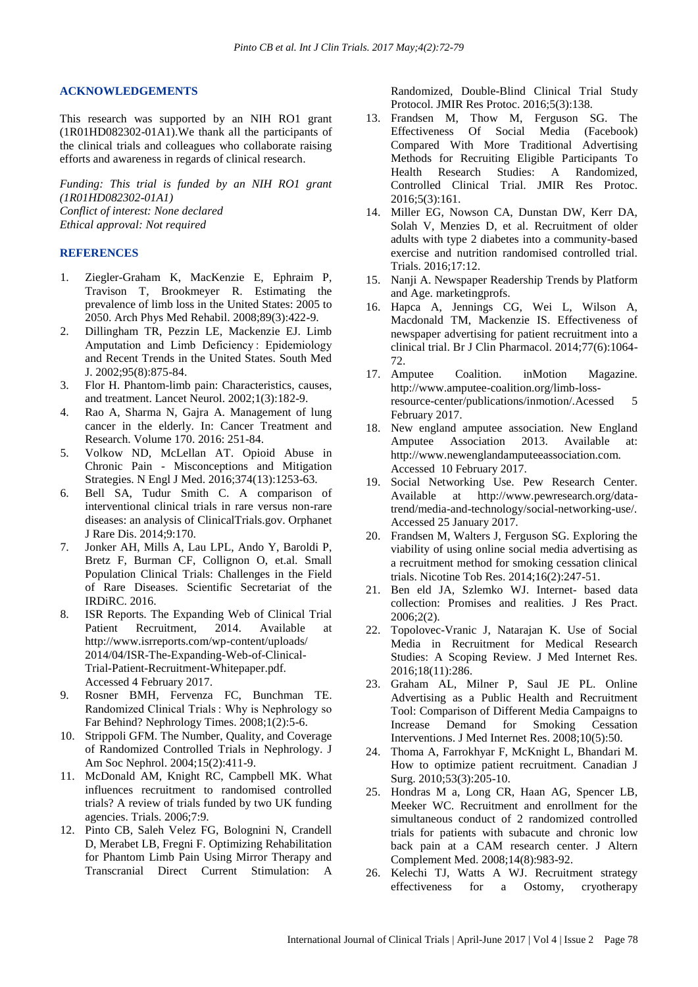#### **ACKNOWLEDGEMENTS**

This research was supported by an NIH RO1 grant (1R01HD082302-01A1).We thank all the participants of the clinical trials and colleagues who collaborate raising efforts and awareness in regards of clinical research.

*Funding: This trial is funded by an NIH RO1 grant (1R01HD082302-01A1) Conflict of interest: None declared Ethical approval: Not required*

#### **REFERENCES**

- 1. Ziegler-Graham K, MacKenzie E, Ephraim P, Travison T, Brookmeyer R. Estimating the prevalence of limb loss in the United States: 2005 to 2050. Arch Phys Med Rehabil. 2008;89(3):422-9.
- 2. Dillingham TR, Pezzin LE, Mackenzie EJ. Limb Amputation and Limb Deficiency : Epidemiology and Recent Trends in the United States. South Med J. 2002;95(8):875-84.
- 3. Flor H. Phantom-limb pain: Characteristics, causes, and treatment. Lancet Neurol. 2002;1(3):182-9.
- 4. Rao A, Sharma N, Gajra A. Management of lung cancer in the elderly. In: Cancer Treatment and Research. Volume 170. 2016: 251-84.
- 5. Volkow ND, McLellan AT. Opioid Abuse in Chronic Pain - Misconceptions and Mitigation Strategies. N Engl J Med. 2016;374(13):1253-63.
- 6. Bell SA, Tudur Smith C. A comparison of interventional clinical trials in rare versus non-rare diseases: an analysis of ClinicalTrials.gov. Orphanet J Rare Dis. 2014;9:170.
- 7. Jonker AH, Mills A, Lau LPL, Ando Y, Baroldi P, Bretz F, Burman CF, Collignon O, et.al. Small Population Clinical Trials: Challenges in the Field of Rare Diseases. Scientific Secretariat of the IRDiRC. 2016.
- 8. ISR Reports. The Expanding Web of Clinical Trial Patient Recruitment, 2014. Available at http://www.isrreports.com/wp-content/uploads/ 2014/04/ISR-The-Expanding-Web-of-Clinical-Trial-Patient-Recruitment-Whitepaper.pdf. Accessed 4 February 2017.
- 9. Rosner BMH, Fervenza FC, Bunchman TE. Randomized Clinical Trials : Why is Nephrology so Far Behind? Nephrology Times. 2008;1(2):5-6.
- 10. Strippoli GFM. The Number, Quality, and Coverage of Randomized Controlled Trials in Nephrology. J Am Soc Nephrol. 2004;15(2):411-9.
- 11. McDonald AM, Knight RC, Campbell MK. What influences recruitment to randomised controlled trials? A review of trials funded by two UK funding agencies. Trials. 2006;7:9.
- 12. Pinto CB, Saleh Velez FG, Bolognini N, Crandell D, Merabet LB, Fregni F. Optimizing Rehabilitation for Phantom Limb Pain Using Mirror Therapy and Transcranial Direct Current Stimulation: A

Randomized, Double-Blind Clinical Trial Study Protocol. JMIR Res Protoc. 2016;5(3):138.

- 13. Frandsen M, Thow M, Ferguson SG. The Effectiveness Of Social Media (Facebook) Compared With More Traditional Advertising Methods for Recruiting Eligible Participants To Health Research Studies: A Randomized, Controlled Clinical Trial. JMIR Res Protoc. 2016;5(3):161.
- 14. Miller EG, Nowson CA, Dunstan DW, Kerr DA, Solah V, Menzies D, et al. Recruitment of older adults with type 2 diabetes into a community-based exercise and nutrition randomised controlled trial. Trials. 2016;17:12.
- 15. Nanji A. Newspaper Readership Trends by Platform and Age. marketingprofs.
- 16. Hapca A, Jennings CG, Wei L, Wilson A, Macdonald TM, Mackenzie IS. Effectiveness of newspaper advertising for patient recruitment into a clinical trial. Br J Clin Pharmacol. 2014;77(6):1064- 72.
- 17. Amputee Coalition. inMotion Magazine. http://www.amputee-coalition.org/limb-lossresource-center/publications/inmotion/.Acessed 5 February 2017.
- 18. New england amputee association. New England Amputee Association 2013. Available at: http://www.newenglandamputeeassociation.com. Accessed 10 February 2017.
- 19. Social Networking Use. Pew Research Center. Available at http://www.pewresearch.org/datatrend/media-and-technology/social-networking-use/. Accessed 25 January 2017.
- 20. Frandsen M, Walters J, Ferguson SG. Exploring the viability of using online social media advertising as a recruitment method for smoking cessation clinical trials. Nicotine Tob Res. 2014;16(2):247-51.
- 21. Ben eld JA, Szlemko WJ. Internet- based data collection: Promises and realities. J Res Pract. 2006;2(2).
- 22. Topolovec-Vranic J, Natarajan K. Use of Social Media in Recruitment for Medical Research Studies: A Scoping Review. J Med Internet Res. 2016;18(11):286.
- 23. Graham AL, Milner P, Saul JE PL. Online Advertising as a Public Health and Recruitment Tool: Comparison of Different Media Campaigns to Increase Demand for Smoking Cessation Interventions. J Med Internet Res. 2008;10(5):50.
- 24. Thoma A, Farrokhyar F, McKnight L, Bhandari M. How to optimize patient recruitment. Canadian J Surg. 2010:53(3):205-10.
- 25. Hondras M a, Long CR, Haan AG, Spencer LB, Meeker WC. Recruitment and enrollment for the simultaneous conduct of 2 randomized controlled trials for patients with subacute and chronic low back pain at a CAM research center. J Altern Complement Med. 2008;14(8):983-92.
- 26. Kelechi TJ, Watts A WJ. Recruitment strategy effectiveness for a Ostomy, cryotherapy